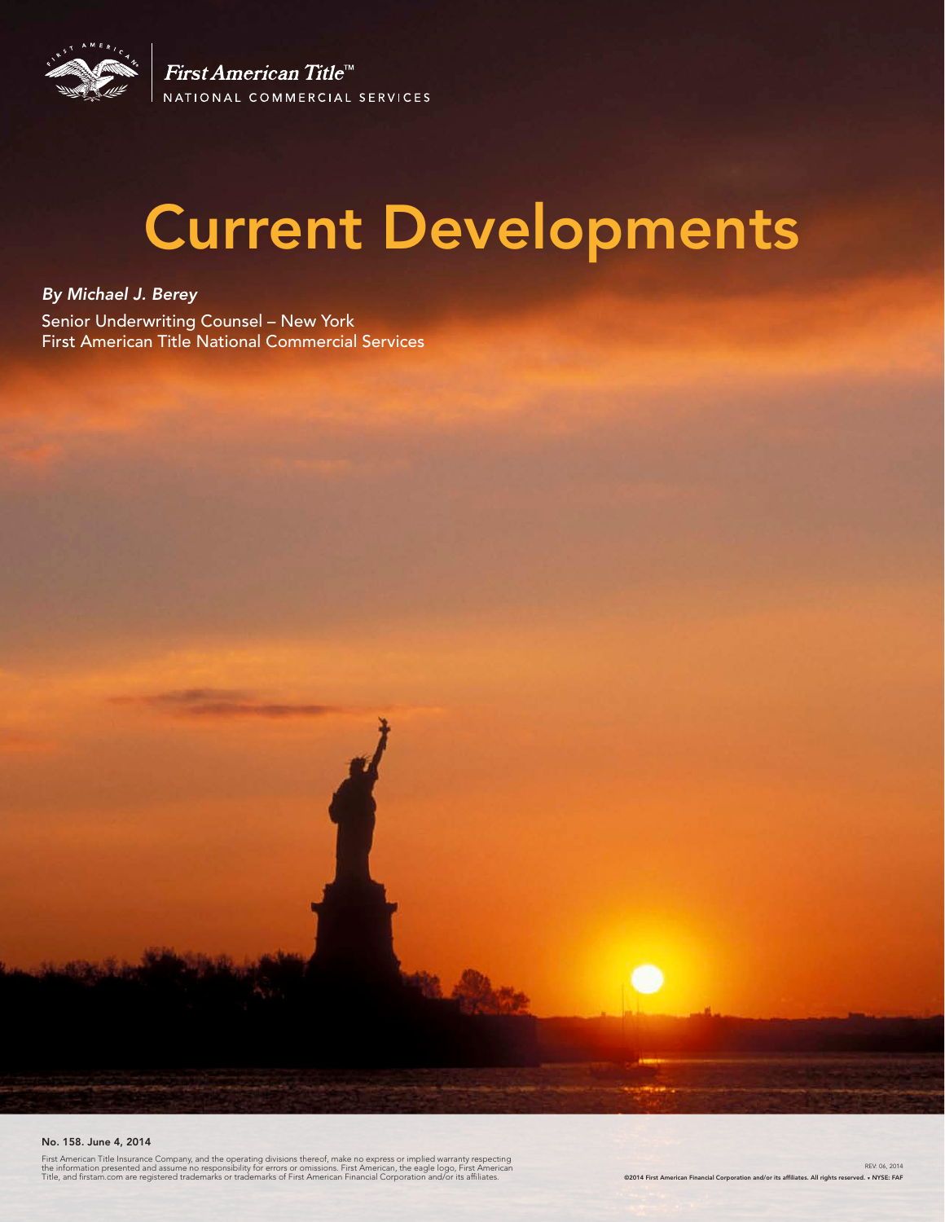

First American Title<sup>™</sup> NATIONAL COMMERCIAL SERVICES

# Current Developments

*By Michael J. Berey*  Senior Underwriting Counsel – New York First American Title National Commercial Services

#### No. 158. June 4, 2014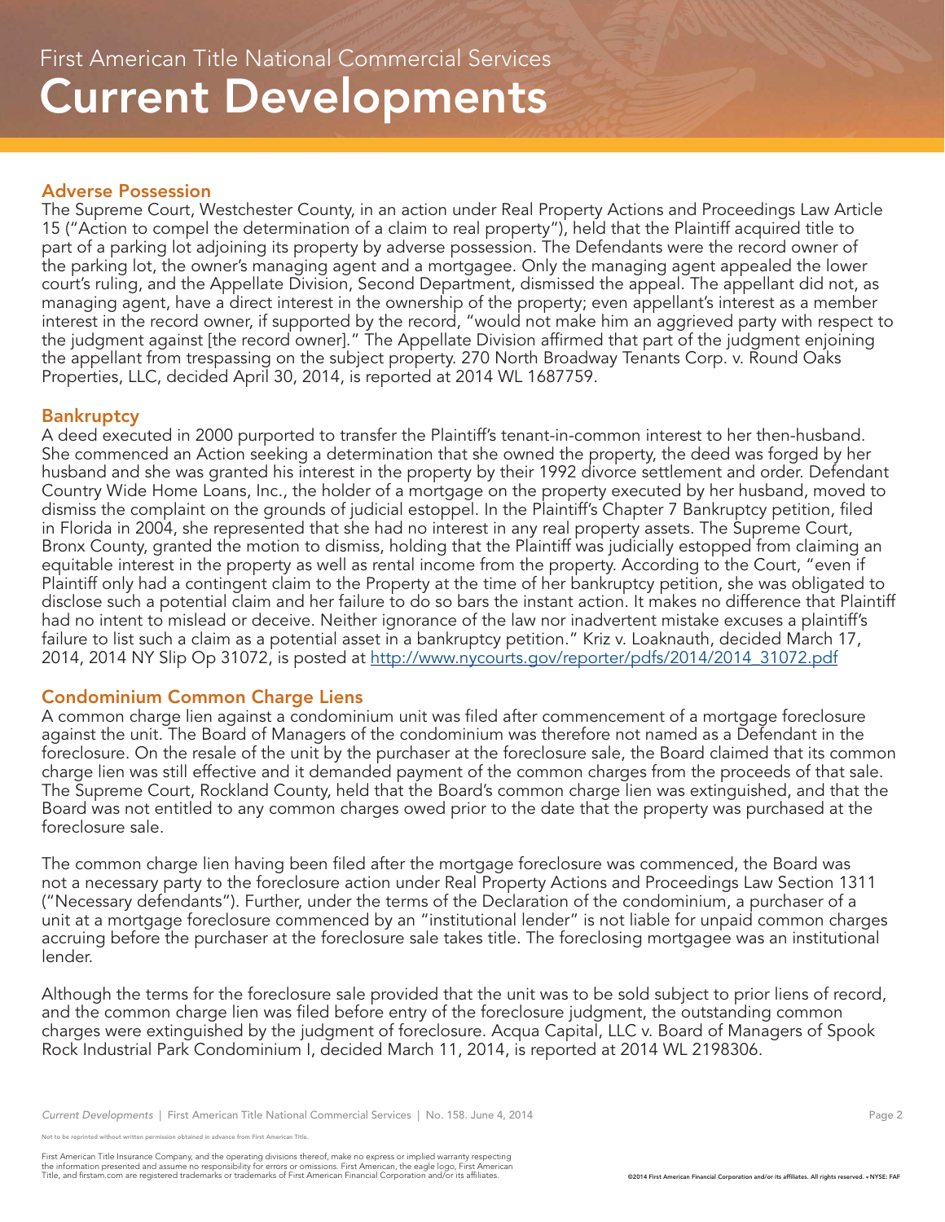#### Adverse Possession

The Supreme Court, Westchester County, in an action under Real Property Actions and Proceedings Law Article 15 ("Action to compel the determination of a claim to real property"), held that the Plaintiff acquired title to part of a parking lot adjoining its property by adverse possession. The Defendants were the record owner of the parking lot, the owner's managing agent and a mortgagee. Only the managing agent appealed the lower court's ruling, and the Appellate Division, Second Department, dismissed the appeal. The appellant did not, as managing agent, have a direct interest in the ownership of the property; even appellant's interest as a member interest in the record owner, if supported by the record, "would not make him an aggrieved party with respect to the judgment against [the record owner]." The Appellate Division affirmed that part of the judgment enjoining the appellant from trespassing on the subject property. 270 North Broadway Tenants Corp. v. Round Oaks Properties, LLC, decided April 30, 2014, is reported at 2014 WL 1687759.

#### **Bankruptcy**

A deed executed in 2000 purported to transfer the Plaintiff's tenant-in-common interest to her then-husband. She commenced an Action seeking a determination that she owned the property, the deed was forged by her husband and she was granted his interest in the property by their 1992 divorce settlement and order. Defendant Country Wide Home Loans, Inc., the holder of a mortgage on the property executed by her husband, moved to dismiss the complaint on the grounds of judicial estoppel. In the Plaintiff's Chapter 7 Bankruptcy petition, filed in Florida in 2004, she represented that she had no interest in any real property assets. The Supreme Court, Bronx County, granted the motion to dismiss, holding that the Plaintiff was judicially estopped from claiming an equitable interest in the property as well as rental income from the property. According to the Court, "even if Plaintiff only had a contingent claim to the Property at the time of her bankruptcy petition, she was obligated to disclose such a potential claim and her failure to do so bars the instant action. It makes no difference that Plaintiff had no intent to mislead or deceive. Neither ignorance of the law nor inadvertent mistake excuses a plaintiff's failure to list such a claim as a potential asset in a bankruptcy petition." Kriz v. Loaknauth, decided March 17, 2014, 2014 NY Slip Op 31072, is posted at http://www.nycourts.gov/reporter/pdfs/2014/2014\_31072.pdf

#### Condominium Common Charge Liens

A common charge lien against a condominium unit was filed after commencement of a mortgage foreclosure against the unit. The Board of Managers of the condominium was therefore not named as a Defendant in the foreclosure. On the resale of the unit by the purchaser at the foreclosure sale, the Board claimed that its common charge lien was still effective and it demanded payment of the common charges from the proceeds of that sale. The Supreme Court, Rockland County, held that the Board's common charge lien was extinguished, and that the Board was not entitled to any common charges owed prior to the date that the property was purchased at the foreclosure sale.

The common charge lien having been filed after the mortgage foreclosure was commenced, the Board was not a necessary party to the foreclosure action under Real Property Actions and Proceedings Law Section 1311 ("Necessary defendants"). Further, under the terms of the Declaration of the condominium, a purchaser of a unit at a mortgage foreclosure commenced by an "institutional lender" is not liable for unpaid common charges accruing before the purchaser at the foreclosure sale takes title. The foreclosing mortgagee was an institutional lender.

Although the terms for the foreclosure sale provided that the unit was to be sold subject to prior liens of record, and the common charge lien was filed before entry of the foreclosure judgment, the outstanding common charges were extinguished by the judgment of foreclosure. Acqua Capital, LLC v. Board of Managers of Spook Rock Industrial Park Condominium I, decided March 11, 2014, is reported at 2014 WL 2198306.

e reprinted without written permission obtained in advance from First American Title.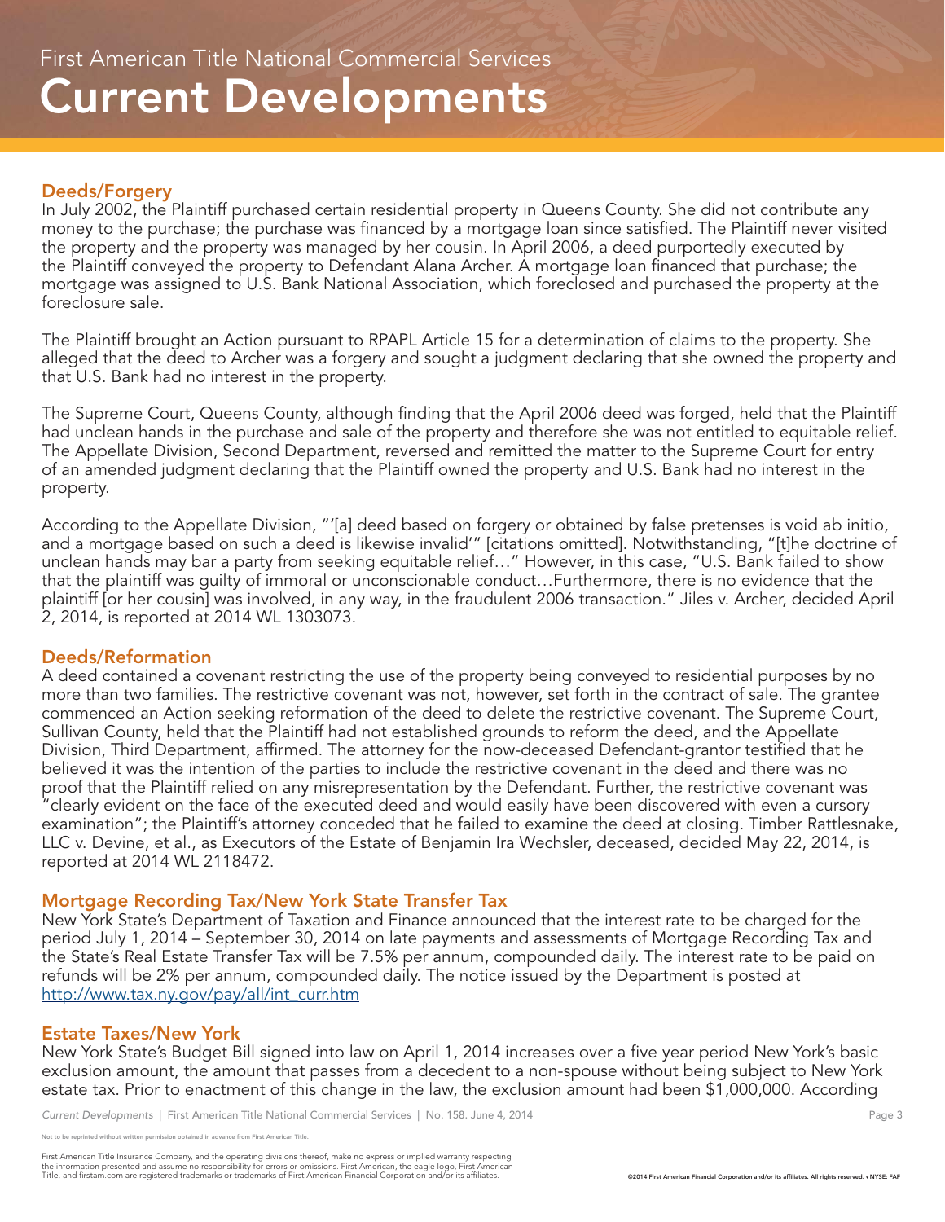#### Deeds/Forgery

In July 2002, the Plaintiff purchased certain residential property in Queens County. She did not contribute any money to the purchase; the purchase was financed by a mortgage loan since satisfied. The Plaintiff never visited the property and the property was managed by her cousin. In April 2006, a deed purportedly executed by the Plaintiff conveyed the property to Defendant Alana Archer. A mortgage loan financed that purchase; the mortgage was assigned to U.S. Bank National Association, which foreclosed and purchased the property at the foreclosure sale.

The Plaintiff brought an Action pursuant to RPAPL Article 15 for a determination of claims to the property. She alleged that the deed to Archer was a forgery and sought a judgment declaring that she owned the property and that U.S. Bank had no interest in the property.

The Supreme Court, Queens County, although finding that the April 2006 deed was forged, held that the Plaintiff had unclean hands in the purchase and sale of the property and therefore she was not entitled to equitable relief. The Appellate Division, Second Department, reversed and remitted the matter to the Supreme Court for entry of an amended judgment declaring that the Plaintiff owned the property and U.S. Bank had no interest in the property.

According to the Appellate Division, "'[a] deed based on forgery or obtained by false pretenses is void ab initio, and a mortgage based on such a deed is likewise invalid'" [citations omitted]. Notwithstanding, "[t]he doctrine of unclean hands may bar a party from seeking equitable relief…" However, in this case, "U.S. Bank failed to show that the plaintiff was guilty of immoral or unconscionable conduct…Furthermore, there is no evidence that the plaintiff [or her cousin] was involved, in any way, in the fraudulent 2006 transaction." Jiles v. Archer, decided April 2, 2014, is reported at 2014 WL 1303073.

## Deeds/Reformation

A deed contained a covenant restricting the use of the property being conveyed to residential purposes by no more than two families. The restrictive covenant was not, however, set forth in the contract of sale. The grantee commenced an Action seeking reformation of the deed to delete the restrictive covenant. The Supreme Court, Sullivan County, held that the Plaintiff had not established grounds to reform the deed, and the Appellate Division, Third Department, affirmed. The attorney for the now-deceased Defendant-grantor testified that he believed it was the intention of the parties to include the restrictive covenant in the deed and there was no proof that the Plaintiff relied on any misrepresentation by the Defendant. Further, the restrictive covenant was "clearly evident on the face of the executed deed and would easily have been discovered with even a cursory examination"; the Plaintiff's attorney conceded that he failed to examine the deed at closing. Timber Rattlesnake, LLC v. Devine, et al., as Executors of the Estate of Benjamin Ira Wechsler, deceased, decided May 22, 2014, is reported at 2014 WL 2118472.

## Mortgage Recording Tax/New York State Transfer Tax

New York State's Department of Taxation and Finance announced that the interest rate to be charged for the period July 1, 2014 – September 30, 2014 on late payments and assessments of Mortgage Recording Tax and the State's Real Estate Transfer Tax will be 7.5% per annum, compounded daily. The interest rate to be paid on refunds will be 2% per annum, compounded daily. The notice issued by the Department is posted at http://www.tax.ny.gov/pay/all/int\_curr.htm

## Estate Taxes/New York

New York State's Budget Bill signed into law on April 1, 2014 increases over a five year period New York's basic exclusion amount, the amount that passes from a decedent to a non-spouse without being subject to New York estate tax. Prior to enactment of this change in the law, the exclusion amount had been \$1,000,000. According

*Current Developments* | First American Title National Commercial Services | No. 158. June 4, 2014 Page 3 Page 3

not reprinted without written permission obtained in advance from First American Title.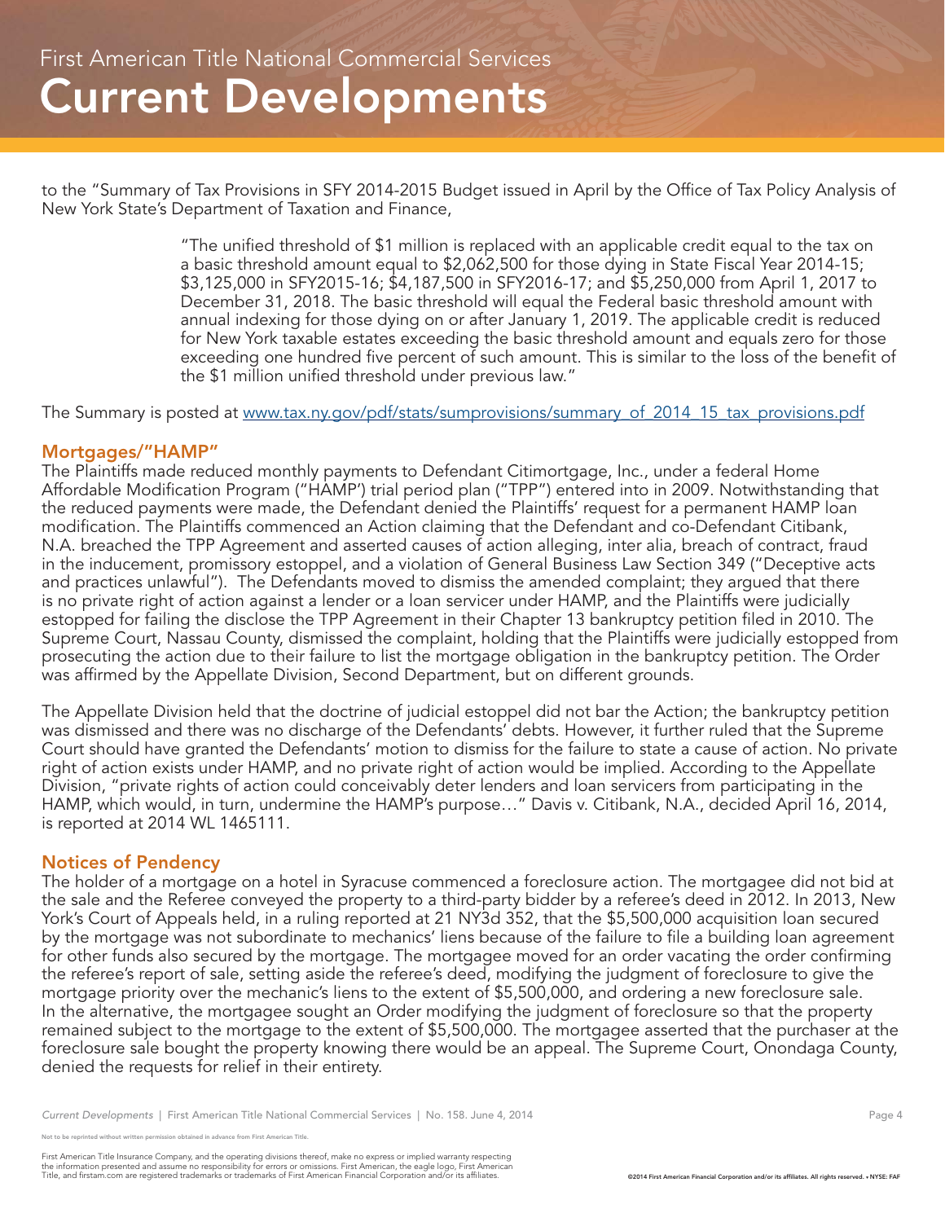to the "Summary of Tax Provisions in SFY 2014-2015 Budget issued in April by the Office of Tax Policy Analysis of New York State's Department of Taxation and Finance,

> "The unified threshold of \$1 million is replaced with an applicable credit equal to the tax on a basic threshold amount equal to \$2,062,500 for those dying in State Fiscal Year 2014-15; \$3,125,000 in SFY2015-16; \$4,187,500 in SFY2016-17; and \$5,250,000 from April 1, 2017 to December 31, 2018. The basic threshold will equal the Federal basic threshold amount with annual indexing for those dying on or after January 1, 2019. The applicable credit is reduced for New York taxable estates exceeding the basic threshold amount and equals zero for those exceeding one hundred five percent of such amount. This is similar to the loss of the benefit of the \$1 million unified threshold under previous law."

The Summary is posted at www.tax.ny.gov/pdf/stats/sumprovisions/summary\_of\_2014\_15\_tax\_provisions.pdf

# Mortgages/"HAMP"

The Plaintiffs made reduced monthly payments to Defendant Citimortgage, Inc., under a federal Home Affordable Modification Program ("HAMP') trial period plan ("TPP") entered into in 2009. Notwithstanding that the reduced payments were made, the Defendant denied the Plaintiffs' request for a permanent HAMP loan modification. The Plaintiffs commenced an Action claiming that the Defendant and co-Defendant Citibank, N.A. breached the TPP Agreement and asserted causes of action alleging, inter alia, breach of contract, fraud in the inducement, promissory estoppel, and a violation of General Business Law Section 349 ("Deceptive acts and practices unlawful"). The Defendants moved to dismiss the amended complaint; they argued that there is no private right of action against a lender or a loan servicer under HAMP, and the Plaintiffs were judicially estopped for failing the disclose the TPP Agreement in their Chapter 13 bankruptcy petition filed in 2010. The Supreme Court, Nassau County, dismissed the complaint, holding that the Plaintiffs were judicially estopped from prosecuting the action due to their failure to list the mortgage obligation in the bankruptcy petition. The Order was affirmed by the Appellate Division, Second Department, but on different grounds.

The Appellate Division held that the doctrine of judicial estoppel did not bar the Action; the bankruptcy petition was dismissed and there was no discharge of the Defendants' debts. However, it further ruled that the Supreme Court should have granted the Defendants' motion to dismiss for the failure to state a cause of action. No private right of action exists under HAMP, and no private right of action would be implied. According to the Appellate Division, "private rights of action could conceivably deter lenders and loan servicers from participating in the HAMP, which would, in turn, undermine the HAMP's purpose…" Davis v. Citibank, N.A., decided April 16, 2014, is reported at 2014 WL 1465111.

## Notices of Pendency

The holder of a mortgage on a hotel in Syracuse commenced a foreclosure action. The mortgagee did not bid at the sale and the Referee conveyed the property to a third-party bidder by a referee's deed in 2012. In 2013, New York's Court of Appeals held, in a ruling reported at 21 NY3d 352, that the \$5,500,000 acquisition loan secured by the mortgage was not subordinate to mechanics' liens because of the failure to file a building loan agreement for other funds also secured by the mortgage. The mortgagee moved for an order vacating the order confirming the referee's report of sale, setting aside the referee's deed, modifying the judgment of foreclosure to give the mortgage priority over the mechanic's liens to the extent of \$5,500,000, and ordering a new foreclosure sale. In the alternative, the mortgagee sought an Order modifying the judgment of foreclosure so that the property remained subject to the mortgage to the extent of \$5,500,000. The mortgagee asserted that the purchaser at the foreclosure sale bought the property knowing there would be an appeal. The Supreme Court, Onondaga County, denied the requests for relief in their entirety.

*Current Developments* | First American Title National Commercial Services | No. 158. June 4, 2014 Page 4

e reprinted without written permission obtained in advance from First American Title.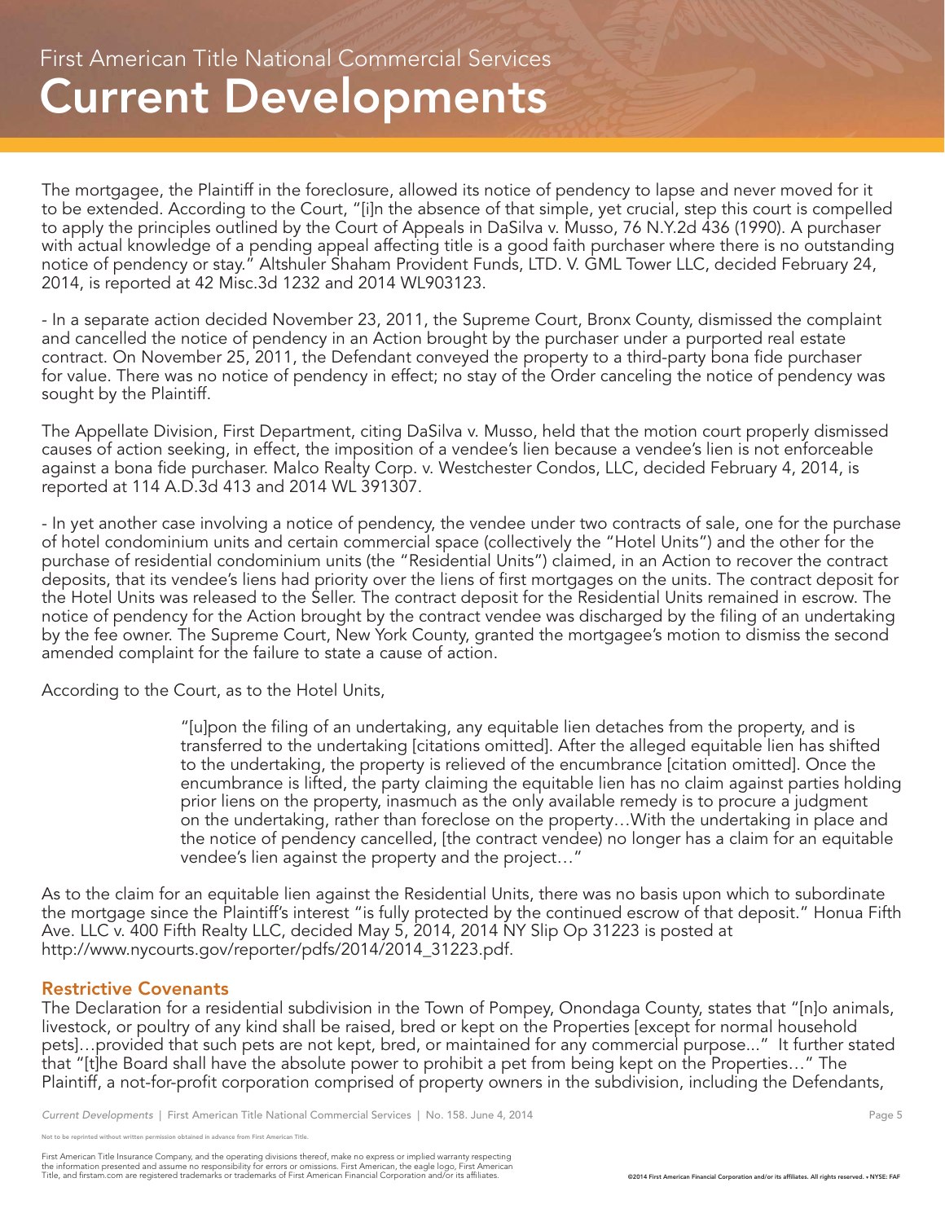The mortgagee, the Plaintiff in the foreclosure, allowed its notice of pendency to lapse and never moved for it to be extended. According to the Court, "[i]n the absence of that simple, yet crucial, step this court is compelled to apply the principles outlined by the Court of Appeals in DaSilva v. Musso, 76 N.Y.2d 436 (1990). A purchaser with actual knowledge of a pending appeal affecting title is a good faith purchaser where there is no outstanding notice of pendency or stay." Altshuler Shaham Provident Funds, LTD. V. GML Tower LLC, decided February 24, 2014, is reported at 42 Misc.3d 1232 and 2014 WL903123.

- In a separate action decided November 23, 2011, the Supreme Court, Bronx County, dismissed the complaint and cancelled the notice of pendency in an Action brought by the purchaser under a purported real estate contract. On November 25, 2011, the Defendant conveyed the property to a third-party bona fide purchaser for value. There was no notice of pendency in effect; no stay of the Order canceling the notice of pendency was sought by the Plaintiff.

The Appellate Division, First Department, citing DaSilva v. Musso, held that the motion court properly dismissed causes of action seeking, in effect, the imposition of a vendee's lien because a vendee's lien is not enforceable against a bona fide purchaser. Malco Realty Corp. v. Westchester Condos, LLC, decided February 4, 2014, is reported at 114 A.D.3d 413 and 2014 WL 391307.

- In yet another case involving a notice of pendency, the vendee under two contracts of sale, one for the purchase of hotel condominium units and certain commercial space (collectively the "Hotel Units") and the other for the purchase of residential condominium units (the "Residential Units") claimed, in an Action to recover the contract deposits, that its vendee's liens had priority over the liens of first mortgages on the units. The contract deposit for the Hotel Units was released to the Seller. The contract deposit for the Residential Units remained in escrow. The notice of pendency for the Action brought by the contract vendee was discharged by the filing of an undertaking by the fee owner. The Supreme Court, New York County, granted the mortgagee's motion to dismiss the second amended complaint for the failure to state a cause of action.

According to the Court, as to the Hotel Units,

"[u]pon the filing of an undertaking, any equitable lien detaches from the property, and is transferred to the undertaking [citations omitted]. After the alleged equitable lien has shifted to the undertaking, the property is relieved of the encumbrance [citation omitted]. Once the encumbrance is lifted, the party claiming the equitable lien has no claim against parties holding prior liens on the property, inasmuch as the only available remedy is to procure a judgment on the undertaking, rather than foreclose on the property…With the undertaking in place and the notice of pendency cancelled, [the contract vendee) no longer has a claim for an equitable vendee's lien against the property and the project…"

As to the claim for an equitable lien against the Residential Units, there was no basis upon which to subordinate the mortgage since the Plaintiff's interest "is fully protected by the continued escrow of that deposit." Honua Fifth Ave. LLC v. 400 Fifth Realty LLC, decided May 5, 2014, 2014 NY Slip Op 31223 is posted at http://www.nycourts.gov/reporter/pdfs/2014/2014\_31223.pdf.

## Restrictive Covenants

The Declaration for a residential subdivision in the Town of Pompey, Onondaga County, states that "[n]o animals, livestock, or poultry of any kind shall be raised, bred or kept on the Properties [except for normal household pets]…provided that such pets are not kept, bred, or maintained for any commercial purpose..." It further stated that "[t]he Board shall have the absolute power to prohibit a pet from being kept on the Properties…" The Plaintiff, a not-for-profit corporation comprised of property owners in the subdivision, including the Defendants,

e reprinted without written permission obtained in advance from First American Title.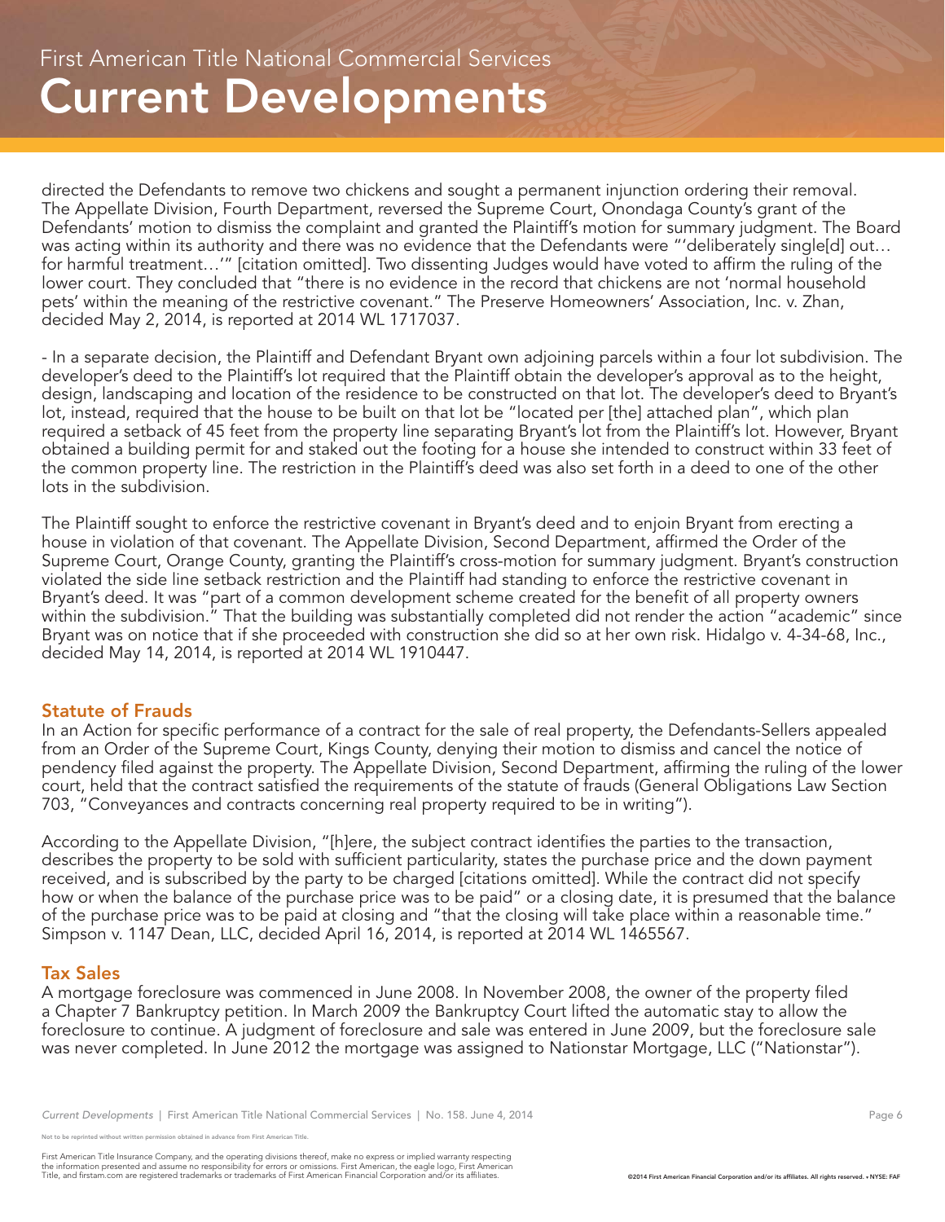directed the Defendants to remove two chickens and sought a permanent injunction ordering their removal. The Appellate Division, Fourth Department, reversed the Supreme Court, Onondaga County's grant of the Defendants' motion to dismiss the complaint and granted the Plaintiff's motion for summary judgment. The Board was acting within its authority and there was no evidence that the Defendants were "'deliberately single[d] out... for harmful treatment…'" [citation omitted]. Two dissenting Judges would have voted to affirm the ruling of the lower court. They concluded that "there is no evidence in the record that chickens are not 'normal household pets' within the meaning of the restrictive covenant." The Preserve Homeowners' Association, Inc. v. Zhan, decided May 2, 2014, is reported at 2014 WL 1717037.

- In a separate decision, the Plaintiff and Defendant Bryant own adjoining parcels within a four lot subdivision. The developer's deed to the Plaintiff's lot required that the Plaintiff obtain the developer's approval as to the height, design, landscaping and location of the residence to be constructed on that lot. The developer's deed to Bryant's lot, instead, required that the house to be built on that lot be "located per [the] attached plan", which plan required a setback of 45 feet from the property line separating Bryant's lot from the Plaintiff's lot. However, Bryant obtained a building permit for and staked out the footing for a house she intended to construct within 33 feet of the common property line. The restriction in the Plaintiff's deed was also set forth in a deed to one of the other lots in the subdivision.

The Plaintiff sought to enforce the restrictive covenant in Bryant's deed and to enjoin Bryant from erecting a house in violation of that covenant. The Appellate Division, Second Department, affirmed the Order of the Supreme Court, Orange County, granting the Plaintiff's cross-motion for summary judgment. Bryant's construction violated the side line setback restriction and the Plaintiff had standing to enforce the restrictive covenant in Bryant's deed. It was "part of a common development scheme created for the benefit of all property owners within the subdivision." That the building was substantially completed did not render the action "academic" since Bryant was on notice that if she proceeded with construction she did so at her own risk. Hidalgo v. 4-34-68, Inc., decided May 14, 2014, is reported at 2014 WL 1910447.

# Statute of Frauds

In an Action for specific performance of a contract for the sale of real property, the Defendants-Sellers appealed from an Order of the Supreme Court, Kings County, denying their motion to dismiss and cancel the notice of pendency filed against the property. The Appellate Division, Second Department, affirming the ruling of the lower court, held that the contract satisfied the requirements of the statute of frauds (General Obligations Law Section 703, "Conveyances and contracts concerning real property required to be in writing").

According to the Appellate Division, "[h]ere, the subject contract identifies the parties to the transaction, describes the property to be sold with sufficient particularity, states the purchase price and the down payment received, and is subscribed by the party to be charged [citations omitted]. While the contract did not specify how or when the balance of the purchase price was to be paid" or a closing date, it is presumed that the balance of the purchase price was to be paid at closing and "that the closing will take place within a reasonable time." Simpson v. 1147 Dean, LLC, decided April 16, 2014, is reported at 2014 WL 1465567.

## Tax Sales

A mortgage foreclosure was commenced in June 2008. In November 2008, the owner of the property filed a Chapter 7 Bankruptcy petition. In March 2009 the Bankruptcy Court lifted the automatic stay to allow the foreclosure to continue. A judgment of foreclosure and sale was entered in June 2009, but the foreclosure sale was never completed. In June 2012 the mortgage was assigned to Nationstar Mortgage, LLC ("Nationstar").